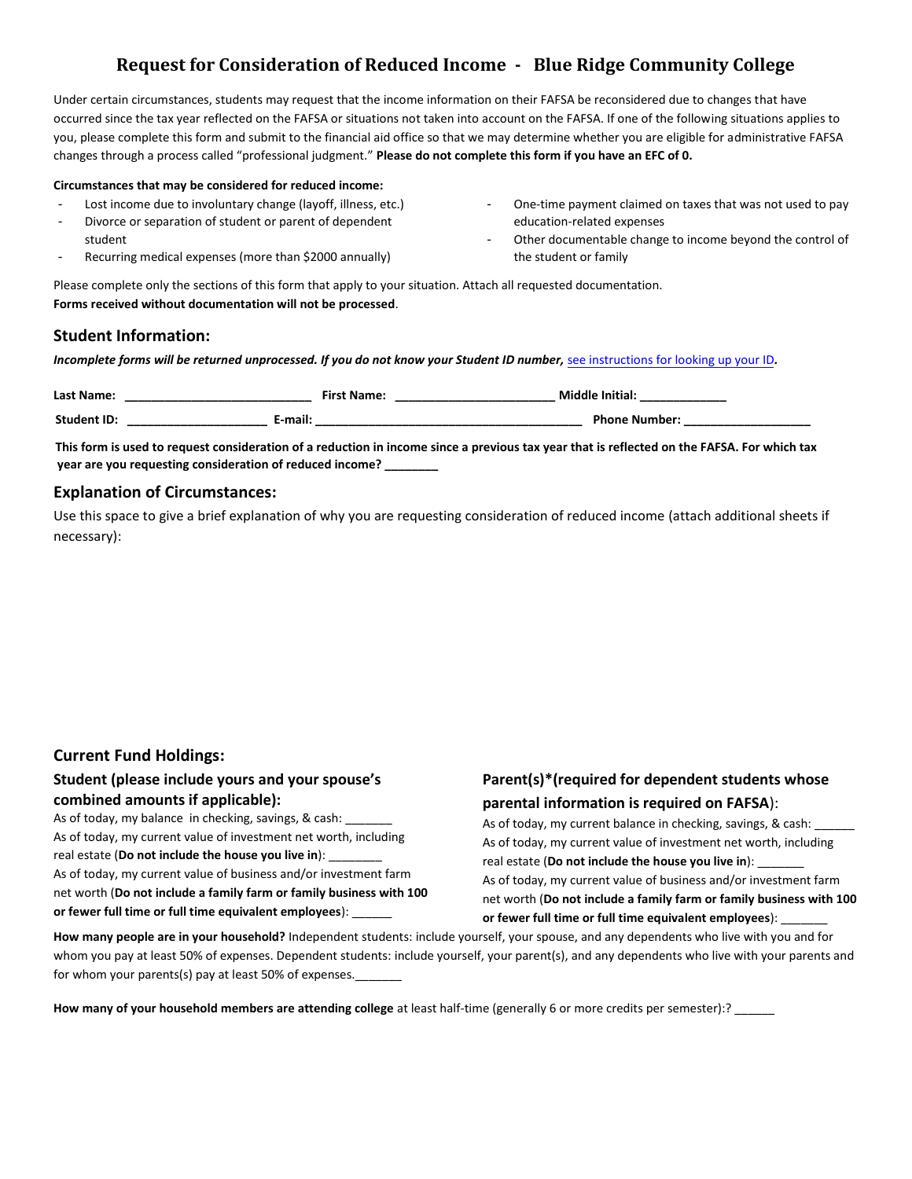## **Request for Consideration of Reduced Income - Blue Ridge Community College**

Under certain circumstances, students may request that the income information on their FAFSA be reconsidered due to changes that have occurred since the tax year reflected on the FAFSA or situations not taken into account on the FAFSA. If one of the following situations applies to you, please complete this form and submit to the financial aid office so that we may determine whether you are eligible for administrative FAFSA changes through a process called "professional judgment." **Please do not complete this form if you have an EFC of 0.** 

#### **Circumstances that may be considered for reduced income:**

- Lost income due to involuntary change (layoff, illness, etc.)
- Divorce or separation of student or parent of dependent

Recurring medical expenses (more than \$2000 annually)

- One-time payment claimed on taxes that was not used to pay education-related expenses
- Other documentable change to income beyond the control of the student or family

Please complete only the sections of this form that apply to your situation. Attach all requested documentation. **Forms received without documentation will not be processed**.

#### **Student Information:**

student

*Incomplete forms will be returned unprocessed. If you do not know your Student ID number,* [see instructions for looking up](https://www.brcc.edu/services/computing/mybrcc-support/index.html#emplid) your ID*.*

| Last Name:         | <b>First Name:</b> | <b>Middle Initial:</b> |
|--------------------|--------------------|------------------------|
| <b>Student ID:</b> | E-mail:            | <b>Phone Number:</b>   |

**This form is used to request consideration of a reduction in income since a previous tax year that is reflected on the FAFSA. For which tax year are you requesting consideration of reduced income? \_\_\_\_\_\_\_\_** 

#### **Explanation of Circumstances:**

Use this space to give a brief explanation of why you are requesting consideration of reduced income (attach additional sheets if necessary):

#### **Current Fund Holdings:**

#### **Student (please include yours and your spouse's combined amounts if applicable):**

As of today, my balance in checking, savings, & cash: As of today, my current value of investment net worth, including real estate (**Do not include the house you live in**): \_\_\_\_\_\_\_\_ As of today, my current value of business and/or investment farm net worth (**Do not include a family farm or family business with 100 or fewer full time or full time equivalent employees**): \_\_\_\_\_\_

### **Parent(s)\*(required for dependent students whose parental information is required on FAFSA**):

As of today, my current balance in checking, savings, & cash: As of today, my current value of investment net worth, including real estate (Do not include the house you live in): As of today, my current value of business and/or investment farm net worth (**Do not include a family farm or family business with 100 or fewer full time or full time equivalent employees**): \_\_\_\_\_\_\_

**How many people are in your household?** Independent students: include yourself, your spouse, and any dependents who live with you and for whom you pay at least 50% of expenses. Dependent students: include yourself, your parent(s), and any dependents who live with your parents and for whom your parents(s) pay at least 50% of expenses.

**How many of your household members are attending college** at least half-time (generally 6 or more credits per semester):? \_\_\_\_\_\_